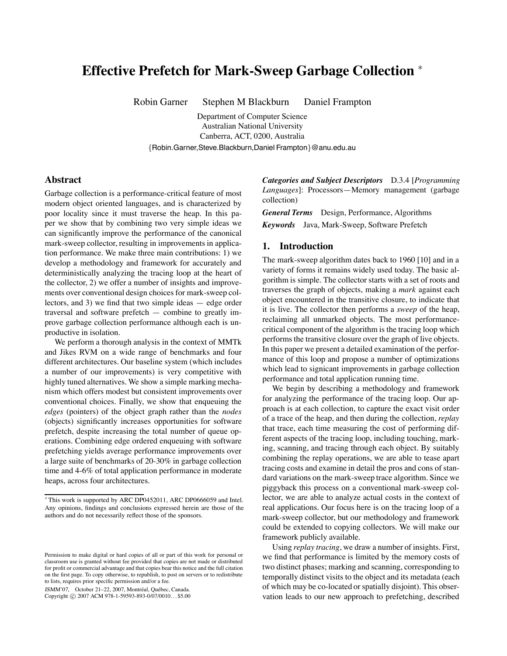# **Effective Prefetch for Mark-Sweep Garbage Collection** <sup>∗</sup>

Robin Garner Stephen M Blackburn Daniel Frampton

Department of Computer Science Australian National University Canberra, ACT, 0200, Australia

{Robin.Garner,Steve.Blackburn,Daniel Frampton}@anu.edu.au

## **Abstract**

Garbage collection is a performance-critical feature of most modern object oriented languages, and is characterized by poor locality since it must traverse the heap. In this paper we show that by combining two very simple ideas we can significantly improve the performance of the canonical mark-sweep collector, resulting in improvements in application performance. We make three main contributions: 1) we develop a methodology and framework for accurately and deterministically analyzing the tracing loop at the heart of the collector, 2) we offer a number of insights and improvements over conventional design choices for mark-sweep collectors, and 3) we find that two simple ideas — edge order traversal and software prefetch — combine to greatly improve garbage collection performance although each is unproductive in isolation.

We perform a thorough analysis in the context of MMTk and Jikes RVM on a wide range of benchmarks and four different architectures. Our baseline system (which includes a number of our improvements) is very competitive with highly tuned alternatives. We show a simple marking mechanism which offers modest but consistent improvements over conventional choices. Finally, we show that enqueuing the *edges* (pointers) of the object graph rather than the *nodes* (objects) significantly increases opportunities for software prefetch, despite increasing the total number of queue operations. Combining edge ordered enqueuing with software prefetching yields average performance improvements over a large suite of benchmarks of 20-30% in garbage collection time and 4-6% of total application performance in moderate heaps, across four architectures.

ISMM'07, October 21-22, 2007, Montréal, Québec, Canada.

Copyright © 2007 ACM 978-1-59593-893-0/07/0010... \$5.00

*Categories and Subject Descriptors* D.3.4 [*Programming Languages*]: Processors—Memory management (garbage collection)

*General Terms* Design, Performance, Algorithms *Keywords* Java, Mark-Sweep, Software Prefetch

#### **1. Introduction**

The mark-sweep algorithm dates back to 1960 [10] and in a variety of forms it remains widely used today. The basic algorithm is simple. The collector starts with a set of roots and traverses the graph of objects, making a *mark* against each object encountered in the transitive closure, to indicate that it is live. The collector then performs a *sweep* of the heap, reclaiming all unmarked objects. The most performancecritical component of the algorithm is the tracing loop which performs the transitive closure over the graph of live objects. In this paper we present a detailed examination of the performance of this loop and propose a number of optimizations which lead to signicant improvements in garbage collection performance and total application running time.

We begin by describing a methodology and framework for analyzing the performance of the tracing loop. Our approach is at each collection, to capture the exact visit order of a trace of the heap, and then during the collection, *replay* that trace, each time measuring the cost of performing different aspects of the tracing loop, including touching, marking, scanning, and tracing through each object. By suitably combining the replay operations, we are able to tease apart tracing costs and examine in detail the pros and cons of standard variations on the mark-sweep trace algorithm. Since we piggyback this process on a conventional mark-sweep collector, we are able to analyze actual costs in the context of real applications. Our focus here is on the tracing loop of a mark-sweep collector, but our methodology and framework could be extended to copying collectors. We will make our framework publicly available.

Using *replay tracing*, we draw a number of insights. First, we find that performance is limited by the memory costs of two distinct phases; marking and scanning, corresponding to temporally distinct visits to the object and its metadata (each of which may be co-located orspatially disjoint). This observation leads to our new approach to prefetching, described

<sup>∗</sup> This work is supported by ARC DP0452011, ARC DP0666059 and Intel. Any opinions, findings and conclusions expressed herein are those of the authors and do not necessarily reflect those of the sponsors.

Permission to make digital or hard copies of all or part of this work for personal or classroom use is granted without fee provided that copies are not made or distributed for profit or commercial advantage and that copies bear this notice and the full citation on the first page. To copy otherwise, to republish, to post on servers or to redistribute to lists, requires prior specific permission and/or a fee.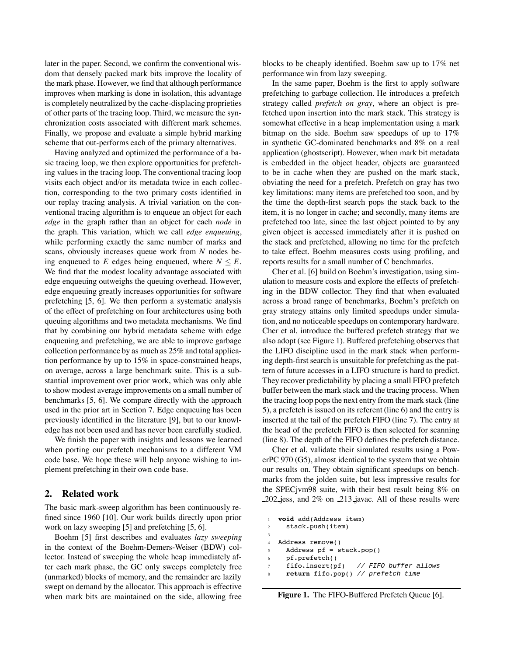later in the paper. Second, we confirm the conventional wisdom that densely packed mark bits improve the locality of the mark phase. However, we find that although performance improves when marking is done in isolation, this advantage is completely neutralized by the cache-displacing proprieties of other parts of the tracing loop. Third, we measure the synchronization costs associated with different mark schemes. Finally, we propose and evaluate a simple hybrid marking scheme that out-performs each of the primary alternatives.

Having analyzed and optimized the performance of a basic tracing loop, we then explore opportunities for prefetching values in the tracing loop. The conventional tracing loop visits each object and/or its metadata twice in each collection, corresponding to the two primary costs identified in our replay tracing analysis. A trivial variation on the conventional tracing algorithm is to enqueue an object for each *edge* in the graph rather than an object for each *node* in the graph. This variation, which we call *edge enqueuing*, while performing exactly the same number of marks and scans, obviously increases queue work from *N* nodes being enqueued to *E* edges being enqueued, where  $N \leq E$ . We find that the modest locality advantage associated with edge enqueuing outweighs the queuing overhead. However, edge enqueuing greatly increases opportunities for software prefetching [5, 6]. We then perform a systematic analysis of the effect of prefetching on four architectures using both queuing algorithms and two metadata mechanisms. We find that by combining our hybrid metadata scheme with edge enqueuing and prefetching, we are able to improve garbage collection performance by as much as 25% and total application performance by up to 15% in space-constrained heaps, on average, across a large benchmark suite. This is a substantial improvement over prior work, which was only able to show modest average improvements on a small number of benchmarks [5, 6]. We compare directly with the approach used in the prior art in Section 7. Edge enqueuing has been previously identified in the literature [9], but to our knowledge has not been used and has never been carefully studied.

We finish the paper with insights and lessons we learned when porting our prefetch mechanisms to a different VM code base. We hope these will help anyone wishing to implement prefetching in their own code base.

## **2. Related work**

The basic mark-sweep algorithm has been continuously refined since 1960 [10]. Our work builds directly upon prior work on lazy sweeping [5] and prefetching [5, 6].

Boehm [5] first describes and evaluates *lazy sweeping* in the context of the Boehm-Demers-Weiser (BDW) collector. Instead of sweeping the whole heap immediately after each mark phase, the GC only sweeps completely free (unmarked) blocks of memory, and the remainder are lazily swept on demand by the allocator. This approach is effective when mark bits are maintained on the side, allowing free

blocks to be cheaply identified. Boehm saw up to 17% net performance win from lazy sweeping.

In the same paper, Boehm is the first to apply software prefetching to garbage collection. He introduces a prefetch strategy called *prefetch on gray*, where an object is prefetched upon insertion into the mark stack. This strategy is somewhat effective in a heap implementation using a mark bitmap on the side. Boehm saw speedups of up to 17% in synthetic GC-dominated benchmarks and 8% on a real application (ghostscript). However, when mark bit metadata is embedded in the object header, objects are guaranteed to be in cache when they are pushed on the mark stack, obviating the need for a prefetch. Prefetch on gray has two key limitations: many items are prefetched too soon, and by the time the depth-first search pops the stack back to the item, it is no longer in cache; and secondly, many items are prefetched too late, since the last object pointed to by any given object is accessed immediately after it is pushed on the stack and prefetched, allowing no time for the prefetch to take effect. Boehm measures costs using profiling, and reports results for a small number of C benchmarks.

Cher et al. [6] build on Boehm's investigation, using simulation to measure costs and explore the effects of prefetching in the BDW collector. They find that when evaluated across a broad range of benchmarks, Boehm's prefetch on gray strategy attains only limited speedups under simulation, and no noticeable speedups on contemporary hardware. Cher et al. introduce the buffered prefetch strategy that we also adopt (see Figure 1). Buffered prefetching observes that the LIFO discipline used in the mark stack when performing depth-first search is unsuitable for prefetching as the pattern of future accesses in a LIFO structure is hard to predict. They recover predictability by placing a small FIFO prefetch buffer between the mark stack and the tracing process. When the tracing loop pops the next entry from the mark stack (line 5), a prefetch is issued on its referent (line 6) and the entry is inserted at the tail of the prefetch FIFO (line 7). The entry at the head of the prefetch FIFO is then selected for scanning (line 8). The depth of the FIFO defines the prefetch distance.

Cher et al. validate their simulated results using a PowerPC 970 (G5), almost identical to the system that we obtain our results on. They obtain significant speedups on benchmarks from the jolden suite, but less impressive results for the SPECjvm98 suite, with their best result being 8% on 202 jess, and 2% on 213 javac. All of these results were

```
1 void add(Address item)
2 stack.push(item)
3
4 Address remove()
    Address pf = stack.pop()pf.prefetch()
    fifo.insert(pf) // FIFO buffer allows
8 return fifo.pop() // prefetch time
```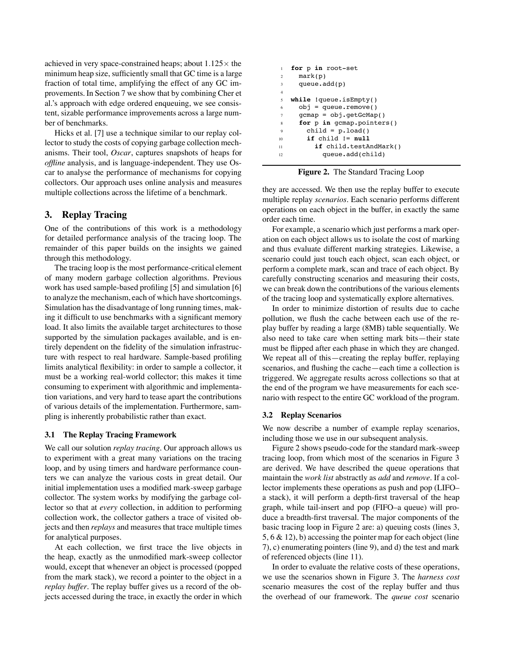achieved in very space-constrained heaps; about  $1.125 \times$  the minimum heap size, sufficiently small that GC time is a large fraction of total time, amplifying the effect of any GC improvements. In Section 7 we show that by combining Cher et al.'s approach with edge ordered enqueuing, we see consistent, sizable performance improvements across a large number of benchmarks.

Hicks et al. [7] use a technique similar to our replay collector to study the costs of copying garbage collection mechanisms. Their tool, *Oscar*, captures snapshots of heaps for *offline* analysis, and is language-independent. They use Oscar to analyse the performance of mechanisms for copying collectors. Our approach uses online analysis and measures multiple collections across the lifetime of a benchmark.

## **3. Replay Tracing**

One of the contributions of this work is a methodology for detailed performance analysis of the tracing loop. The remainder of this paper builds on the insights we gained through this methodology.

The tracing loop is the most performance-critical element of many modern garbage collection algorithms. Previous work has used sample-based profiling [5] and simulation [6] to analyze the mechanism, each of which have shortcomings. Simulation has the disadvantage of long running times, making it difficult to use benchmarks with a significant memory load. It also limits the available target architectures to those supported by the simulation packages available, and is entirely dependent on the fidelity of the simulation infrastructure with respect to real hardware. Sample-based profiling limits analytical flexibility: in order to sample a collector, it must be a working real-world collector; this makes it time consuming to experiment with algorithmic and implementation variations, and very hard to tease apart the contributions of various details of the implementation. Furthermore, sampling is inherently probabilistic rather than exact.

## **3.1 The Replay Tracing Framework**

We call our solution *replay tracing*. Our approach allows us to experiment with a great many variations on the tracing loop, and by using timers and hardware performance counters we can analyze the various costs in great detail. Our initial implementation uses a modified mark-sweep garbage collector. The system works by modifying the garbage collector so that at *every* collection, in addition to performing collection work, the collector gathers a trace of visited objects and then *replays* and measures that trace multiple times for analytical purposes.

At each collection, we first trace the live objects in the heap, exactly as the unmodified mark-sweep collector would, except that whenever an object is processed (popped from the mark stack), we record a pointer to the object in a *replay buffer*. The replay buffer gives us a record of the objects accessed during the trace, in exactly the order in which

```
1 for p in root-set
2 mark(p)
3 queue.add(p)
4
5 while !queue.isEmpty()
6 obj = queue.remove()
    7 gcmap = obj.getGcMap()
8 for p in gcmap.pointers()
9 child = p.load()10 if child != null
11 if child.testAndMark()
12 queue.add(child)
```
**Figure 2.** The Standard Tracing Loop

they are accessed. We then use the replay buffer to execute multiple replay *scenarios*. Each scenario performs different operations on each object in the buffer, in exactly the same order each time.

For example, a scenario which just performs a mark operation on each object allows us to isolate the cost of marking and thus evaluate different marking strategies. Likewise, a scenario could just touch each object, scan each object, or perform a complete mark, scan and trace of each object. By carefully constructing scenarios and measuring their costs, we can break down the contributions of the various elements of the tracing loop and systematically explore alternatives.

In order to minimize distortion of results due to cache pollution, we flush the cache between each use of the replay buffer by reading a large (8MB) table sequentially. We also need to take care when setting mark bits—their state must be flipped after each phase in which they are changed. We repeat all of this—creating the replay buffer, replaying scenarios, and flushing the cache—each time a collection is triggered. We aggregate results across collections so that at the end of the program we have measurements for each scenario with respect to the entire GC workload of the program.

## **3.2 Replay Scenarios**

We now describe a number of example replay scenarios, including those we use in our subsequent analysis.

Figure 2 shows pseudo-code for the standard mark-sweep tracing loop, from which most of the scenarios in Figure 3 are derived. We have described the queue operations that maintain the *work list* abstractly as *add* and *remove*. If a collector implements these operations as push and pop (LIFO– a stack), it will perform a depth-first traversal of the heap graph, while tail-insert and pop (FIFO–a queue) will produce a breadth-first traversal. The major components of the basic tracing loop in Figure 2 are: a) queuing costs (lines 3, 5, 6 & 12), b) accessing the pointer map for each object (line 7), c) enumerating pointers (line 9), and d) the test and mark of referenced objects (line 11).

In order to evaluate the relative costs of these operations, we use the scenarios shown in Figure 3. The *harness cost* scenario measures the cost of the replay buffer and thus the overhead of our framework. The *queue cost* scenario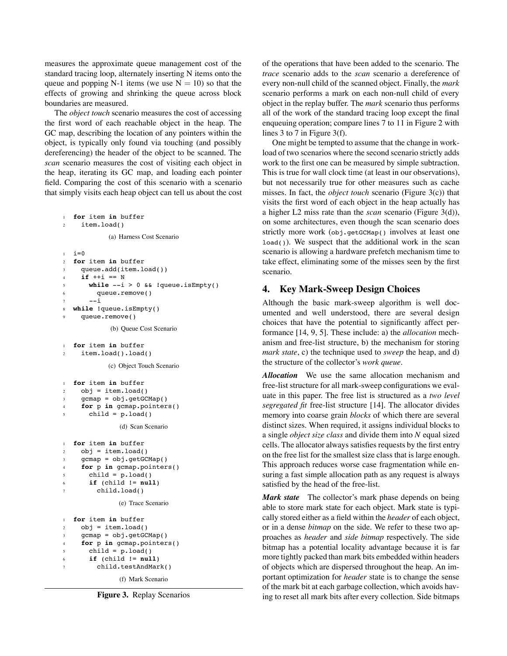measures the approximate queue management cost of the standard tracing loop, alternately inserting N items onto the queue and popping N-1 items (we use  $N = 10$ ) so that the effects of growing and shrinking the queue across block boundaries are measured.

The *object touch* scenario measures the cost of accessing the first word of each reachable object in the heap. The GC map, describing the location of any pointers within the object, is typically only found via touching (and possibly dereferencing) the header of the object to be scanned. The *scan* scenario measures the cost of visiting each object in the heap, iterating its GC map, and loading each pointer field. Comparing the cost of this scenario with a scenario that simply visits each heap object can tell us about the cost

<sup>1</sup> **for** item **in** buffer <sup>2</sup> item.load()

(a) Harness Cost Scenario

```
i = 02 for item in buffer
3 queue.add(item.load())
    4 if ++i == N
5 while --i > 0 && !queue.isEmpty()
6 queue.remove()
7 - -18 while !queue.isEmpty()
    9 queue.remove()
```
(b) Queue Cost Scenario

```
1 for item in buffer
2 item.load().load()
```
(c) Object Touch Scenario

```
1 for item in buffer
2 obj = item.load()
3 gcmap = obj.getGCMap()
4 for p in gcmap.pointers()
      child = p.load()
```
(d) Scan Scenario

```
1 for item in buffer
2 obj = item.load()
3 gcmap = obj.getGCMap()
4 for p in gcmap.pointers()
5 child = p.load()6 if (child != null)
7 child.load()
```

```
(e) Trace Scenario
```

```
1 for item in buffer
2 obj = item.load()
    gcmap = obj.getGCMap()4 for p in gcmap.pointers()
5 child = p.load()6 if (child != null)
       7 child.testAndMark()
```

```
(f) Mark Scenario
```
of the operations that have been added to the scenario. The *trace* scenario adds to the *scan* scenario a dereference of every non-null child of the scanned object. Finally, the *mark* scenario performs a mark on each non-null child of every object in the replay buffer. The *mark* scenario thus performs all of the work of the standard tracing loop except the final enqueuing operation; compare lines 7 to 11 in Figure 2 with lines 3 to 7 in Figure 3(f).

One might be tempted to assume that the change in workload of two scenarios where the second scenario strictly adds work to the first one can be measured by simple subtraction. This is true for wall clock time (at least in our observations), but not necessarily true for other measures such as cache misses. In fact, the *object touch* scenario (Figure 3(c)) that visits the first word of each object in the heap actually has a higher L2 miss rate than the *scan* scenario (Figure 3(d)), on some architectures, even though the scan scenario does strictly more work (obj.getGCMap() involves at least one  $load()$ ). We suspect that the additional work in the scan scenario is allowing a hardware prefetch mechanism time to take effect, eliminating some of the misses seen by the first scenario.

## **4. Key Mark-Sweep Design Choices**

Although the basic mark-sweep algorithm is well documented and well understood, there are several design choices that have the potential to significantly affect performance [14, 9, 5]. These include: a) the *allocation* mechanism and free-list structure, b) the mechanism for storing *mark state*, c) the technique used to *sweep* the heap, and d) the structure of the collector's *work queue*.

*Allocation* We use the same allocation mechanism and free-list structure for all mark-sweep configurations we evaluate in this paper. The free list is structured as a *two level segregated fit* free-list structure [14]. The allocator divides memory into coarse grain *blocks* of which there are several distinct sizes. When required, it assigns individual blocks to a single *object size class* and divide them into *N* equal sized cells. The allocator always satisfies requests by the first entry on the free list for the smallest size class that is large enough. This approach reduces worse case fragmentation while ensuring a fast simple allocation path as any request is always satisfied by the head of the free-list.

*Mark state* The collector's mark phase depends on being able to store mark state for each object. Mark state is typically stored either as a field within the *header* of each object, or in a dense *bitmap* on the side. We refer to these two approaches as *header* and *side bitmap* respectively. The side bitmap has a potential locality advantage because it is far more tightly packed than mark bits embedded within headers of objects which are dispersed throughout the heap. An important optimization for *header* state is to change the sense of the mark bit at each garbage collection, which avoids having to reset all mark bits after every collection. Side bitmaps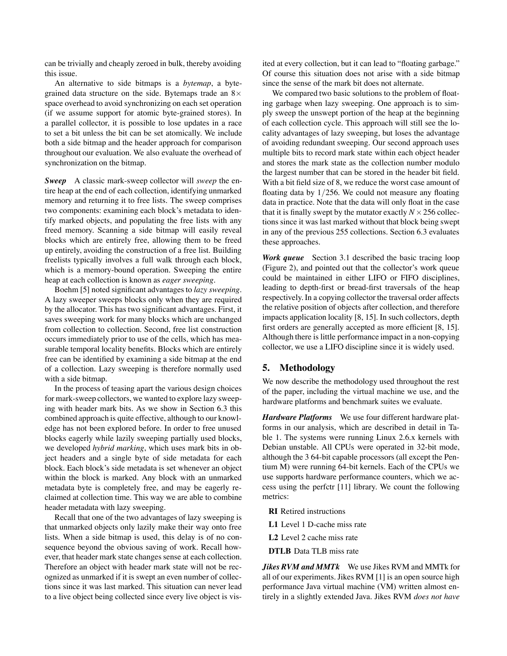can be trivially and cheaply zeroed in bulk, thereby avoiding this issue.

An alternative to side bitmaps is a *bytemap*, a bytegrained data structure on the side. Bytemaps trade an  $8\times$ space overhead to avoid synchronizing on each set operation (if we assume support for atomic byte-grained stores). In a parallel collector, it is possible to lose updates in a race to set a bit unless the bit can be set atomically. We include both a side bitmap and the header approach for comparison throughout our evaluation. We also evaluate the overhead of synchronization on the bitmap.

*Sweep* A classic mark-sweep collector will *sweep* the entire heap at the end of each collection, identifying unmarked memory and returning it to free lists. The sweep comprises two components: examining each block's metadata to identify marked objects, and populating the free lists with any freed memory. Scanning a side bitmap will easily reveal blocks which are entirely free, allowing them to be freed up entirely, avoiding the construction of a free list. Building freelists typically involves a full walk through each block, which is a memory-bound operation. Sweeping the entire heap at each collection is known as *eager sweeping*.

Boehm [5] noted significant advantagesto *lazy sweeping*. A lazy sweeper sweeps blocks only when they are required by the allocator. This has two significant advantages. First, it saves sweeping work for many blocks which are unchanged from collection to collection. Second, free list construction occurs immediately prior to use of the cells, which has measurable temporal locality benefits. Blocks which are entirely free can be identified by examining a side bitmap at the end of a collection. Lazy sweeping is therefore normally used with a side bitmap.

In the process of teasing apart the various design choices for mark-sweep collectors, we wanted to explore lazy sweeping with header mark bits. As we show in Section 6.3 this combined approach is quite effective, although to our knowledge has not been explored before. In order to free unused blocks eagerly while lazily sweeping partially used blocks, we developed *hybrid marking*, which uses mark bits in object headers and a single byte of side metadata for each block. Each block's side metadata is set whenever an object within the block is marked. Any block with an unmarked metadata byte is completely free, and may be eagerly reclaimed at collection time. This way we are able to combine header metadata with lazy sweeping.

Recall that one of the two advantages of lazy sweeping is that unmarked objects only lazily make their way onto free lists. When a side bitmap is used, this delay is of no consequence beyond the obvious saving of work. Recall however, that header mark state changes sense at each collection. Therefore an object with header mark state will not be recognized as unmarked if it is swept an even number of collections since it was last marked. This situation can never lead to a live object being collected since every live object is visited at every collection, but it can lead to "floating garbage." Of course this situation does not arise with a side bitmap since the sense of the mark bit does not alternate.

We compared two basic solutions to the problem of floating garbage when lazy sweeping. One approach is to simply sweep the unswept portion of the heap at the beginning of each collection cycle. This approach will still see the locality advantages of lazy sweeping, but loses the advantage of avoiding redundant sweeping. Our second approach uses multiple bits to record mark state within each object header and stores the mark state as the collection number modulo the largest number that can be stored in the header bit field. With a bit field size of 8, we reduce the worst case amount of floating data by  $1/256$ . We could not measure any floating data in practice. Note that the data will only float in the case that it is finally swept by the mutator exactly  $N \times 256$  collections since it was last marked without that block being swept in any of the previous 255 collections. Section 6.3 evaluates these approaches.

*Work queue* Section 3.1 described the basic tracing loop (Figure 2), and pointed out that the collector's work queue could be maintained in either LIFO or FIFO disciplines, leading to depth-first or bread-first traversals of the heap respectively. In a copying collector the traversal order affects the relative position of objects after collection, and therefore impacts application locality [8, 15]. In such collectors, depth first orders are generally accepted as more efficient [8, 15]. Although there is little performance impact in a non-copying collector, we use a LIFO discipline since it is widely used.

## **5. Methodology**

We now describe the methodology used throughout the rest of the paper, including the virtual machine we use, and the hardware platforms and benchmark suites we evaluate.

*Hardware Platforms* We use four different hardware platforms in our analysis, which are described in detail in Table 1. The systems were running Linux 2.6.x kernels with Debian unstable. All CPUs were operated in 32-bit mode, although the 3 64-bit capable processors (all except the Pentium M) were running 64-bit kernels. Each of the CPUs we use supports hardware performance counters, which we access using the perfctr [11] library. We count the following metrics:

- **RI** Retired instructions
- **L1** Level 1 D-cache miss rate
- **L2** Level 2 cache miss rate
- **DTLB** Data TLB miss rate

*Jikes RVM and MMTk* We use Jikes RVM and MMTk for all of our experiments.Jikes RVM [1] is an open source high performance Java virtual machine (VM) written almost entirely in a slightly extended Java. Jikes RVM *does not have*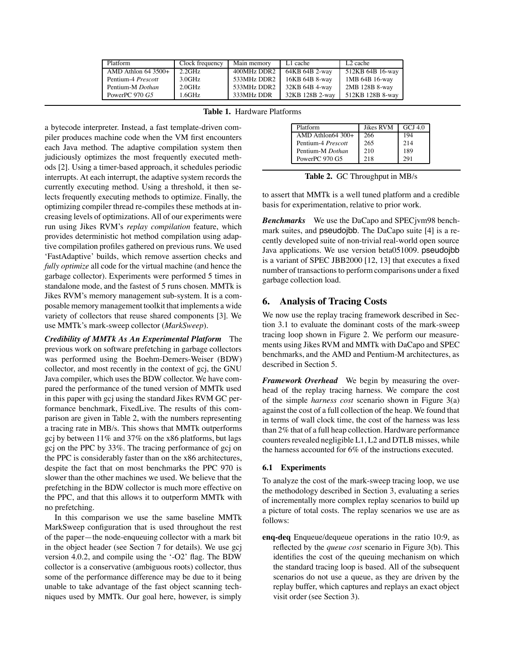| Platform               | Clock frequency  | Main memory | L <sub>1</sub> cache | L <sub>2</sub> cache |
|------------------------|------------------|-------------|----------------------|----------------------|
| AMD Athlon $64\,3500+$ | $2.2 \text{GHz}$ | 400MHz DDR2 | 64KB 64B 2-way       | 512KB 64B 16-way     |
| Pentium-4 Prescott     | $3.0$ GHz        | 533MHz DDR2 | 16KB 64B 8-way       | 1MB 64B 16-way       |
| Pentium-M Dothan       | $2.0$ GHz        | 533MHz DDR2 | 32KB 64B 4-way       | 2MB 128B 8-way       |
| PowerPC $970\ G5$      | 1.6GHz           | 333MHz DDR  | 32KB 128B 2-way      | 512KB 128B 8-way     |

**Table 1.** Hardware Platforms

a bytecode interpreter. Instead, a fast template-driven compiler produces machine code when the VM first encounters each Java method. The adaptive compilation system then judiciously optimizes the most frequently executed methods [2]. Using a timer-based approach, it schedules periodic interrupts. At each interrupt, the adaptive system records the currently executing method. Using a threshold, it then selects frequently executing methods to optimize. Finally, the optimizing compiler thread re-compiles these methods at increasing levels of optimizations. All of our experiments were run using Jikes RVM's *replay compilation* feature, which provides deterministic hot method compilation using adaptive compilation profiles gathered on previous runs. We used 'FastAdaptive' builds, which remove assertion checks and *fully optimize* all code for the virtual machine (and hence the garbage collector). Experiments were performed 5 times in standalone mode, and the fastest of 5 runs chosen. MMTk is Jikes RVM's memory management sub-system. It is a composable memory management toolkit that implements a wide variety of collectors that reuse shared components [3]. We use MMTk's mark-sweep collector (*MarkSweep*).

*Credibility of MMTk As An Experimental Platform* The previous work on software prefetching in garbage collectors was performed using the Boehm-Demers-Weiser (BDW) collector, and most recently in the context of gcj, the GNU Java compiler, which uses the BDW collector. We have compared the performance of the tuned version of MMTk used in this paper with gcj using the standard Jikes RVM GC performance benchmark, FixedLive. The results of this comparison are given in Table 2, with the numbers representing a tracing rate in MB/s. This shows that MMTk outperforms gcj by between 11% and 37% on the x86 platforms, but lags gcj on the PPC by 33%. The tracing performance of gcj on the PPC is considerably faster than on the x86 architectures, despite the fact that on most benchmarks the PPC 970 is slower than the other machines we used. We believe that the prefetching in the BDW collector is much more effective on the PPC, and that this allows it to outperform MMTk with no prefetching.

In this comparison we use the same baseline MMTk MarkSweep configuration that is used throughout the rest of the paper—the node-enqueuing collector with a mark bit in the object header (see Section 7 for details). We use gcj version 4.0.2, and compile using the '-O2' flag. The BDW collector is a conservative (ambiguous roots) collector, thus some of the performance difference may be due to it being unable to take advantage of the fast object scanning techniques used by MMTk. Our goal here, however, is simply

| Platform               | <b>Tikes RVM</b> | GCI 4.0 |
|------------------------|------------------|---------|
| $AMD$ Athlon $64$ 300+ | 266              | 194     |
| Pentium-4 Prescott     | 265              | 214     |
| Pentium-M Dothan       | 210              | 189     |
| PowerPC 970 G5         | 218              | 291     |

**Table 2.** GC Throughput in MB/s

to assert that MMTk is a well tuned platform and a credible basis for experimentation, relative to prior work.

*Benchmarks* We use the DaCapo and SPECjvm98 benchmark suites, and pseudojbb. The DaCapo suite [4] is a recently developed suite of non-trivial real-world open source Java applications. We use version beta051009. pseudojbb is a variant of SPEC JBB2000 [12, 13] that executes a fixed number of transactions to perform comparisons under a fixed garbage collection load.

## **6. Analysis of Tracing Costs**

We now use the replay tracing framework described in Section 3.1 to evaluate the dominant costs of the mark-sweep tracing loop shown in Figure 2. We perform our measurements using Jikes RVM and MMTk with DaCapo and SPEC benchmarks, and the AMD and Pentium-M architectures, as described in Section 5.

*Framework Overhead* We begin by measuring the overhead of the replay tracing harness. We compare the cost of the simple *harness cost* scenario shown in Figure 3(a) against the cost of a full collection of the heap. We found that in terms of wall clock time, the cost of the harness was less than 2% that of a full heap collection. Hardware performance counters revealed negligible  $L1$ ,  $L2$  and DTLB misses, while the harness accounted for 6% of the instructions executed.

## **6.1 Experiments**

To analyze the cost of the mark-sweep tracing loop, we use the methodology described in Section 3, evaluating a series of incrementally more complex replay scenarios to build up a picture of total costs. The replay scenarios we use are as follows:

**enq-deq** Enqueue/dequeue operations in the ratio 10:9, as reflected by the *queue cost* scenario in Figure 3(b). This identifies the cost of the queuing mechanism on which the standard tracing loop is based. All of the subsequent scenarios do not use a queue, as they are driven by the replay buffer, which captures and replays an exact object visit order (see Section 3).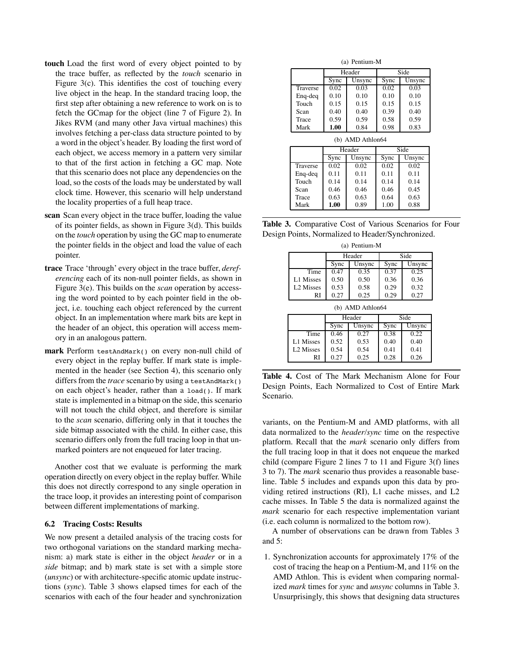- **touch** Load the first word of every object pointed to by the trace buffer, as reflected by the *touch* scenario in Figure  $3(c)$ . This identifies the cost of touching every live object in the heap. In the standard tracing loop, the first step after obtaining a new reference to work on is to fetch the GCmap for the object (line 7 of Figure 2). In Jikes RVM (and many other Java virtual machines) this involves fetching a per-class data structure pointed to by a word in the object's header. By loading the first word of each object, we access memory in a pattern very similar to that of the first action in fetching a GC map. Note that this scenario does not place any dependencies on the load, so the costs of the loads may be understated by wall clock time. However, this scenario will help understand the locality properties of a full heap trace.
- **scan** Scan every object in the trace buffer, loading the value of its pointer fields, as shown in Figure 3(d). This builds on the *touch* operation by using the GC map to enumerate the pointer fields in the object and load the value of each pointer.
- **trace** Trace 'through' every object in the trace buffer, *dereferencing* each of its non-null pointer fields, as shown in Figure 3(e). This builds on the *scan* operation by accessing the word pointed to by each pointer field in the object, i.e. touching each object referenced by the current object. In an implementation where mark bits are kept in the header of an object, this operation will access memory in an analogous pattern.
- **mark** Perform testAndMark() on every non-null child of every object in the replay buffer. If mark state is implemented in the header (see Section 4), this scenario only differs from the *trace* scenario by using a testAndMark() on each object's header, rather than a load(). If mark state is implemented in a bitmap on the side, this scenario will not touch the child object, and therefore is similar to the *scan* scenario, differing only in that it touches the side bitmap associated with the child. In either case, this scenario differs only from the full tracing loop in that unmarked pointers are not enqueued for later tracing.

Another cost that we evaluate is performing the mark operation directly on every object in the replay buffer. While this does not directly correspond to any single operation in the trace loop, it provides an interesting point of comparison between different implementations of marking.

## **6.2 Tracing Costs: Results**

We now present a detailed analysis of the tracing costs for two orthogonal variations on the standard marking mechanism: a) mark state is either in the object *header* or in a *side* bitmap; and b) mark state is set with a simple store (*unsync*) or with architecture-specific atomic update instructions (*sync*). Table 3 shows elapsed times for each of the scenarios with each of the four header and synchronization

| (a) Pentium-M   |                   |        |      |        |  |  |  |  |  |  |  |
|-----------------|-------------------|--------|------|--------|--|--|--|--|--|--|--|
|                 |                   | Header | Side |        |  |  |  |  |  |  |  |
|                 | Sync              | Unsync | Sync | Unsync |  |  |  |  |  |  |  |
| <b>Traverse</b> | $\overline{0.02}$ | 0.03   | 0.02 | 0.03   |  |  |  |  |  |  |  |
| Enq-deq         | 0.10              | 0.10   | 0.10 | 0.10   |  |  |  |  |  |  |  |
| Touch           | 0.15              | 0.15   | 0.15 | 0.15   |  |  |  |  |  |  |  |
| Scan            | 0.40              | 0.40   | 0.39 | 0.40   |  |  |  |  |  |  |  |
| Trace           | 0.59              | 0.59   | 0.58 | 0.59   |  |  |  |  |  |  |  |
| Mark            | 1.00              | 0.84   | 0.98 | 0.83   |  |  |  |  |  |  |  |
|                 | AMD Athlon64      |        |      |        |  |  |  |  |  |  |  |

|          |      | Header | Side |        |  |  |  |
|----------|------|--------|------|--------|--|--|--|
|          | Sync | Unsync | Sync | Unsync |  |  |  |
| Traverse | 0.02 | 0.02   | 0.02 | 0.02   |  |  |  |
| Enq-deq  | 0.11 | 0.11   | 0.11 | 0.11   |  |  |  |
| Touch    | 0.14 | 0.14   | 0.14 | 0.14   |  |  |  |
| Scan     | 0.46 | 0.46   | 0.46 | 0.45   |  |  |  |
| Trace    | 0.63 | 0.63   | 0.64 | 0.63   |  |  |  |
| Mark     | 1.00 | 0.89   | 1.00 | 0.88   |  |  |  |

**Table 3.** Comparative Cost of Various Scenarios for Four Design Points, Normalized to Header/Synchronized.

| (a) Pentium-M         |      |        |      |        |  |  |  |  |  |  |
|-----------------------|------|--------|------|--------|--|--|--|--|--|--|
|                       |      | Header | Side |        |  |  |  |  |  |  |
|                       | Sync | Unsync | Sync | Unsync |  |  |  |  |  |  |
| Time                  | 0.47 | 0.35   | 0.37 | 0.25   |  |  |  |  |  |  |
| L1 Misses             | 0.50 | 0.50   | 0.36 | 0.36   |  |  |  |  |  |  |
| L <sub>2</sub> Misses | 0.53 | 0.58   | 0.29 | 0.32   |  |  |  |  |  |  |
| RI                    | 0.27 | 0.25   | 0.29 | 0.27   |  |  |  |  |  |  |
|                       |      |        |      |        |  |  |  |  |  |  |

| (b) AMD Athlon64      |      |        |      |        |  |  |  |  |  |  |  |
|-----------------------|------|--------|------|--------|--|--|--|--|--|--|--|
|                       |      | Header | Side |        |  |  |  |  |  |  |  |
|                       | Sync | Unsync | Sync | Unsync |  |  |  |  |  |  |  |
| Time                  | 0.46 | 0.27   | 0.38 | 0.22   |  |  |  |  |  |  |  |
| L1 Misses             | 0.52 | 0.53   | 0.40 | 0.40   |  |  |  |  |  |  |  |
| L <sub>2</sub> Misses | 0.54 | 0.54   | 0.41 | 0.41   |  |  |  |  |  |  |  |
| RI                    | 0.27 | 0.25   | 0.28 | 0.26   |  |  |  |  |  |  |  |

**Table 4.** Cost of The Mark Mechanism Alone for Four Design Points, Each Normalized to Cost of Entire Mark Scenario.

variants, on the Pentium-M and AMD platforms, with all data normalized to the *header/sync* time on the respective platform. Recall that the *mark* scenario only differs from the full tracing loop in that it does not enqueue the marked child (compare Figure 2 lines 7 to 11 and Figure 3(f) lines 3 to 7). The *mark* scenario thus provides a reasonable baseline. Table 5 includes and expands upon this data by providing retired instructions (RI), L1 cache misses, and L2 cache misses. In Table 5 the data is normalized against the *mark* scenario for each respective implementation variant (i.e. each column is normalized to the bottom row).

A number of observations can be drawn from Tables 3 and 5:

1. Synchronization accounts for approximately 17% of the cost of tracing the heap on a Pentium-M, and 11% on the AMD Athlon. This is evident when comparing normalized *mark* times for *sync* and *unsync* columns in Table 3. Unsurprisingly, this shows that designing data structures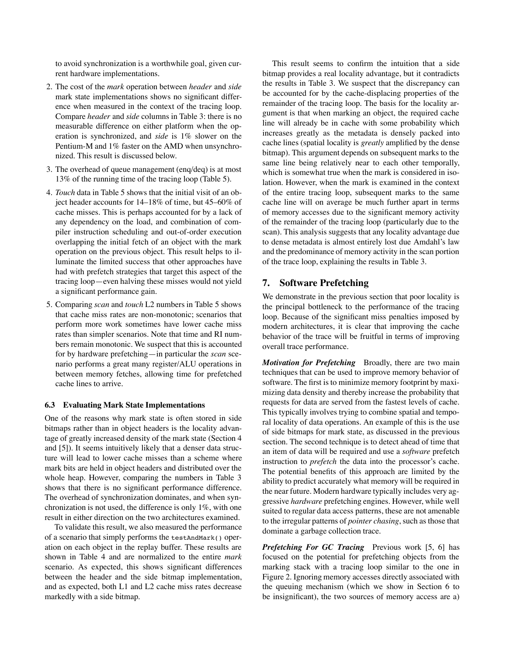to avoid synchronization is a worthwhile goal, given current hardware implementations.

- 2. The cost of the *mark* operation between *header* and *side* mark state implementations shows no significant difference when measured in the context of the tracing loop. Compare *header* and *side* columns in Table 3: there is no measurable difference on either platform when the operation is synchronized, and *side* is 1% slower on the Pentium-M and 1% faster on the AMD when unsynchronized. This result is discussed below.
- 3. The overhead of queue management (enq/deq) is at most 13% of the running time of the tracing loop (Table 5).
- 4. *Touch* data in Table 5 shows that the initial visit of an object header accounts for 14–18% of time, but 45–60% of cache misses. This is perhaps accounted for by a lack of any dependency on the load, and combination of compiler instruction scheduling and out-of-order execution overlapping the initial fetch of an object with the mark operation on the previous object. This result helps to illuminate the limited success that other approaches have had with prefetch strategies that target this aspect of the tracing loop—even halving these misses would not yield a significant performance gain.
- 5. Comparing *scan* and *touch* L2 numbers in Table 5 shows that cache miss rates are non-monotonic; scenarios that perform more work sometimes have lower cache miss rates than simpler scenarios. Note that time and RI numbers remain monotonic. We suspect that this is accounted for by hardware prefetching—in particular the *scan* scenario performs a great many register/ALU operations in between memory fetches, allowing time for prefetched cache lines to arrive.

#### **6.3 Evaluating Mark State Implementations**

One of the reasons why mark state is often stored in side bitmaps rather than in object headers is the locality advantage of greatly increased density of the mark state (Section 4 and [5]). It seems intuitively likely that a denser data structure will lead to lower cache misses than a scheme where mark bits are held in object headers and distributed over the whole heap. However, comparing the numbers in Table 3 shows that there is no significant performance difference. The overhead of synchronization dominates, and when synchronization is not used, the difference is only 1%, with one result in either direction on the two architectures examined.

To validate this result, we also measured the performance of a scenario that simply performs the testAndMark() operation on each object in the replay buffer. These results are shown in Table 4 and are normalized to the entire *mark* scenario. As expected, this shows significant differences between the header and the side bitmap implementation, and as expected, both L1 and L2 cache miss rates decrease markedly with a side bitmap.

This result seems to confirm the intuition that a side bitmap provides a real locality advantage, but it contradicts the results in Table 3. We suspect that the discrepancy can be accounted for by the cache-displacing properties of the remainder of the tracing loop. The basis for the locality argument is that when marking an object, the required cache line will already be in cache with some probability which increases greatly as the metadata is densely packed into cache lines (spatial locality is *greatly* amplified by the dense bitmap). This argument depends on subsequent marks to the same line being relatively near to each other temporally, which is somewhat true when the mark is considered in isolation. However, when the mark is examined in the context of the entire tracing loop, subsequent marks to the same cache line will on average be much further apart in terms of memory accesses due to the significant memory activity of the remainder of the tracing loop (particularly due to the scan). This analysis suggests that any locality advantage due to dense metadata is almost entirely lost due Amdahl's law and the predominance of memory activity in the scan portion of the trace loop, explaining the results in Table 3.

## **7. Software Prefetching**

We demonstrate in the previous section that poor locality is the principal bottleneck to the performance of the tracing loop. Because of the significant miss penalties imposed by modern architectures, it is clear that improving the cache behavior of the trace will be fruitful in terms of improving overall trace performance.

*Motivation for Prefetching* Broadly, there are two main techniques that can be used to improve memory behavior of software. The first is to minimize memory footprint by maximizing data density and thereby increase the probability that requests for data are served from the fastest levels of cache. This typically involves trying to combine spatial and temporal locality of data operations. An example of this is the use of side bitmaps for mark state, as discussed in the previous section. The second technique is to detect ahead of time that an item of data will be required and use a *software* prefetch instruction to *prefetch* the data into the processor's cache. The potential benefits of this approach are limited by the ability to predict accurately what memory will be required in the near future. Modern hardware typically includes very aggressive *hardware* prefetching engines. However, while well suited to regular data access patterns, these are not amenable to the irregular patterns of *pointer chasing*, such as those that dominate a garbage collection trace.

*Prefetching For GC Tracing* Previous work [5, 6] has focused on the potential for prefetching objects from the marking stack with a tracing loop similar to the one in Figure 2. Ignoring memory accesses directly associated with the queuing mechanism (which we show in Section 6 to be insignificant), the two sources of memory access are a)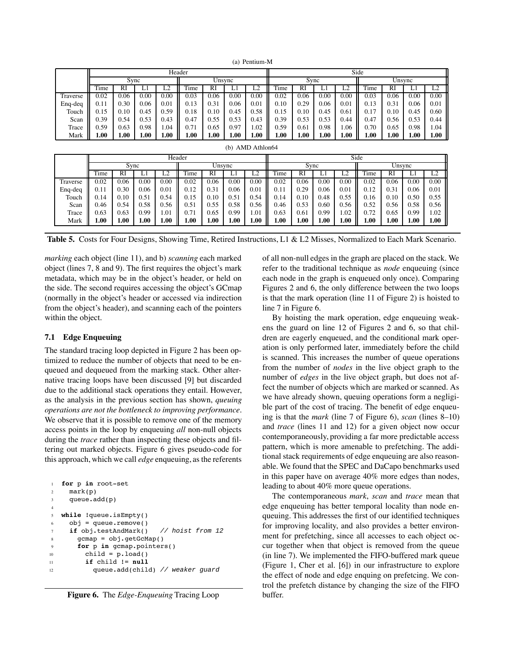(a) Pentium-M

|          | Header |      |      |      |           |      |      |      | Side |      |      |        |      |      |          |                |
|----------|--------|------|------|------|-----------|------|------|------|------|------|------|--------|------|------|----------|----------------|
|          |        | Svnc |      |      | Unsync    |      |      | Sync |      |      |      | Unsvne |      |      |          |                |
|          | Time   | RI   | ⊥⊥   | LZ   | Time      | RI   | LТ   | L2   | Time | RI   | ⊥⊥   | ∸∸     | Time | RI   | LI       | L <sub>2</sub> |
| Traverse | 0.02   | 0.06 | 0.00 | 0.00 | 0.03      | 0.06 | 0.00 | 0.00 | 0.02 | 0.06 | 0.00 | 0.00   | 0.03 | 0.06 | 0.00     | 0.00           |
| Eng-deg  | 0.11   | 0.30 | 0.06 | 0.01 | 0.13      | 0.31 | 0.06 | 0.01 | 0.10 | 0.29 | 0.06 | 0.01   | 0.13 | 0.31 | 0.06     | $_{0.01}$      |
| Touch    | 0.15   | 0.10 | 0.45 | 0.59 | $_{0.18}$ | 0.10 | 0.45 | 0.58 | 0.15 | 0.10 | 0.45 | 0.61   | 0.17 | 0.10 | 0.45     | 0.60           |
| Scan     | 0.39   | 0.54 | 0.53 | 0.43 | 0.47      | 0.55 | 0.53 | 0.43 | 0.39 | 0.53 | 0.53 | 0.44   | 0.47 | 0.56 | 0.53     | 0.44           |
| Trace    | 0.59   | 0.63 | 0.98 | .04  | 0.71      | 0.65 | 0.97 | 1.02 | 0.59 | 0.61 | 0.98 | .06    | 0.70 | 0.65 | 0.98     | 1.04           |
| Mark     | 1.00   | 1.00 | 1.00 | 1.00 | $1.00\,$  | 1.00 | l.00 | 1.00 | 1.00 | 1.00 | 1.00 | 1.00   | 1.00 | 1.00 | $1.00\,$ | 1.00           |

(b) AMD Athlon64

|          | Header |      |      |      |           |      |      |      | Side |      |                    |        |      |      |      |      |
|----------|--------|------|------|------|-----------|------|------|------|------|------|--------------------|--------|------|------|------|------|
|          |        | Sync |      |      | Unsync    |      |      | Sync |      |      |                    | Unsync |      |      |      |      |
|          | Time   | RI   | ĿΙ   |      | Time      | RI   | LТ   | L2   | Time | RI   | ⊥⊥                 | ∸∸     | Time | RI   | LТ   | L2   |
| Traverse | 0.02   | 0.06 | 0.00 | 0.00 | $_{0.02}$ | 0.06 | 0.00 | 0.00 | 0.02 | 0.06 | 0.00               | 0.00   | 0.02 | 0.06 | 0.00 | 0.00 |
| Enq-deq  | 0.11   | 0.30 | 0.06 | 0.01 | 0.12      | 0.31 | 0.06 | 0.01 | 0.1  | 0.29 | 0.06               | 0.01   | 0.12 | 0.31 | 0.06 | 0.01 |
| Touch    | 0.14   | 0.10 | 0.51 | 0.54 | 0.15      | 0.10 | 0.51 | 0.54 | 0.14 | 0.10 | 0.48               | 0.55   | 0.16 | 0.10 | 0.50 | 0.55 |
| Scan     | 0.46   | 0.54 | 0.58 | 0.56 | 0.51      | 0.55 | 0.58 | 0.56 | 0.46 | 0.53 | 0.60               | 0.56   | 0.52 | 0.56 | 0.58 | 0.56 |
| Trace    | 0.63   | 0.63 | 0.99 | .01  | 0.71      | 0.65 | 0.99 | 1.01 | 0.63 | 0.61 | 0.99               | 1.02   | 0.72 | 0.65 | 0.99 | 1.02 |
| Mark     | 1.00   | 1.00 | 1.00 | 1.00 | 1.00      | 1.00 | 1.00 | 1.00 | 1.00 | 1.00 | $\boldsymbol{.00}$ | 1.00   | 1.00 | 1.00 | 1.00 | 1.00 |

**Table 5.** Costs for Four Designs, Showing Time, Retired Instructions, L1 & L2 Misses, Normalized to Each Mark Scenario.

*marking* each object (line 11), and b) *scanning* each marked object (lines 7, 8 and 9). The first requires the object's mark metadata, which may be in the object's header, or held on the side. The second requires accessing the object's GCmap (normally in the object's header or accessed via indirection from the object's header), and scanning each of the pointers within the object.

## **7.1 Edge Enqueuing**

The standard tracing loop depicted in Figure 2 has been optimized to reduce the number of objects that need to be enqueued and dequeued from the marking stack. Other alternative tracing loops have been discussed [9] but discarded due to the additional stack operations they entail. However, as the analysis in the previous section has shown, *queuing operations are not the bottleneck to improving performance*. We observe that it is possible to remove one of the memory access points in the loop by enqueuing *all* non-null objects during the *trace* rather than inspecting these objects and filtering out marked objects. Figure 6 gives pseudo-code for this approach, which we call *edge* enqueuing, as the referents

```
1 for p in root-set
2 mark(p)
3 queue.add(p)
4
  while !queue.isEmpty()
    obj = queue.remove()if obj.testAndMark() // hoist from 12
8 gcmap = obj.getGcMap()
      for p in gcmap.pointers()
10 child = p.load()11 if child != null
12 queue.add(child) // weaker guard
```
of all non-null edges in the graph are placed on the stack. We refer to the traditional technique as *node* enqueuing (since each node in the graph is enqueued only once). Comparing Figures 2 and 6, the only difference between the two loops is that the mark operation (line 11 of Figure 2) is hoisted to line 7 in Figure 6.

By hoisting the mark operation, edge enqueuing weakens the guard on line 12 of Figures 2 and 6, so that children are eagerly enqueued, and the conditional mark operation is only performed later, immediately before the child is scanned. This increases the number of queue operations from the number of *nodes* in the live object graph to the number of *edges* in the live object graph, but does not affect the number of objects which are marked or scanned. As we have already shown, queuing operations form a negligible part of the cost of tracing. The benefit of edge enqueuing is that the *mark* (line 7 of Figure 6), *scan* (lines 8–10) and *trace* (lines 11 and 12) for a given object now occur contemporaneously, providing a far more predictable access pattern, which is more amenable to prefetching. The additional stack requirements of edge enqueuing are also reasonable. We found that the SPEC and DaCapo benchmarks used in this paper have on average 40% more edges than nodes, leading to about 40% more queue operations.

The contemporaneous *mark*, *scan* and *trace* mean that edge enqueuing has better temporal locality than node enqueuing. This addresses the first of our identified techniques for improving locality, and also provides a better environment for prefetching, since all accesses to each object occur together when that object is removed from the queue (in line 7). We implemented the FIFO-buffered mark queue (Figure 1, Cher et al. [6]) in our infrastructure to explore the effect of node and edge enquing on prefetcing. We control the prefetch distance by changing the size of the FIFO buffer.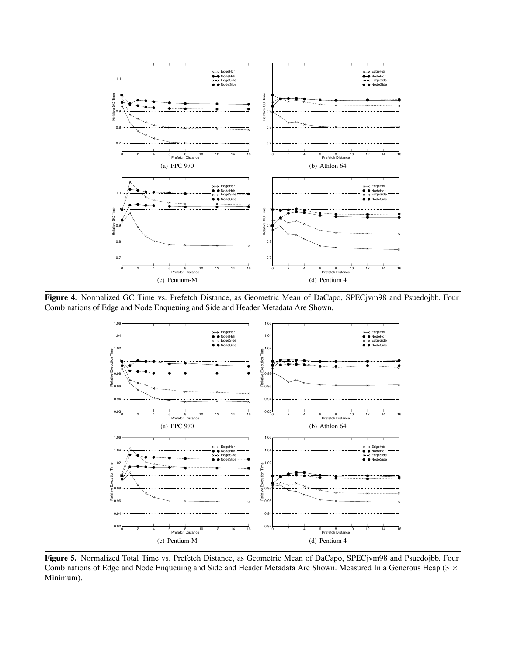

**Figure 4.** Normalized GC Time vs. Prefetch Distance, as Geometric Mean of DaCapo, SPECjvm98 and Psuedojbb. Four Combinations of Edge and Node Enqueuing and Side and Header Metadata Are Shown.



**Figure 5.** Normalized Total Time vs. Prefetch Distance, as Geometric Mean of DaCapo, SPECjvm98 and Psuedojbb. Four Combinations of Edge and Node Enqueuing and Side and Header Metadata Are Shown. Measured In a Generous Heap (3  $\times$ Minimum).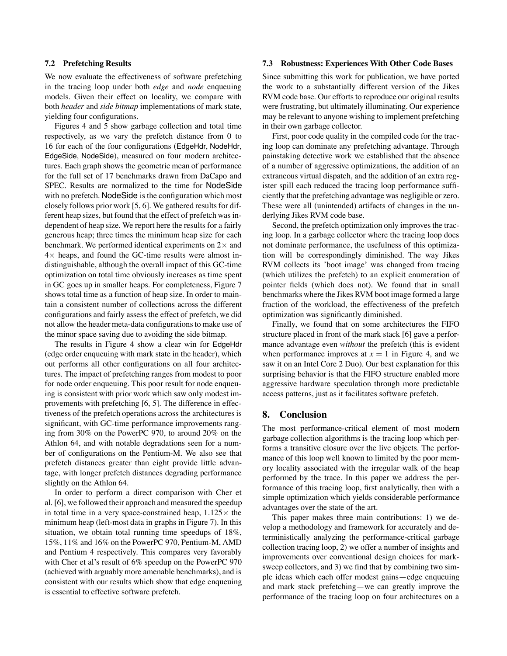## **7.2 Prefetching Results**

We now evaluate the effectiveness of software prefetching in the tracing loop under both *edge* and *node* enqueuing models. Given their effect on locality, we compare with both *header* and *side bitmap* implementations of mark state, yielding four configurations.

Figures 4 and 5 show garbage collection and total time respectively, as we vary the prefetch distance from 0 to 16 for each of the four configurations (EdgeHdr, NodeHdr, EdgeSide, NodeSide), measured on four modern architectures. Each graph shows the geometric mean of performance for the full set of 17 benchmarks drawn from DaCapo and SPEC. Results are normalized to the time for NodeSide with no prefetch. NodeSide is the configuration which most closely follows prior work [5, 6]. We gathered results for different heap sizes, but found that the effect of prefetch was independent of heap size. We report here the results for a fairly generous heap; three times the minimum heap size for each benchmark. We performed identical experiments on  $2\times$  and  $4\times$  heaps, and found the GC-time results were almost indistinguishable, although the overall impact of this GC-time optimization on total time obviously increases as time spent in GC goes up in smaller heaps. For completeness, Figure 7 shows total time as a function of heap size. In order to maintain a consistent number of collections across the different configurations and fairly assess the effect of prefetch, we did not allow the header meta-data configurationsto make use of the minor space saving due to avoiding the side bitmap.

The results in Figure 4 show a clear win for EdgeHdr (edge order enqueuing with mark state in the header), which out performs all other configurations on all four architectures. The impact of prefetching ranges from modest to poor for node order enqueuing. This poor result for node enqueuing is consistent with prior work which saw only modest improvements with prefetching [6, 5]. The difference in effectiveness of the prefetch operations across the architectures is significant, with GC-time performance improvements ranging from 30% on the PowerPC 970, to around 20% on the Athlon 64, and with notable degradations seen for a number of configurations on the Pentium-M. We also see that prefetch distances greater than eight provide little advantage, with longer prefetch distances degrading performance slightly on the Athlon 64.

In order to perform a direct comparison with Cher et al. [6], we followed their approach and measured the speedup in total time in a very space-constrained heap,  $1.125 \times$  the minimum heap (left-most data in graphs in Figure 7). In this situation, we obtain total running time speedups of 18%, 15%, 11% and 16% on the PowerPC 970, Pentium-M, AMD and Pentium 4 respectively. This compares very favorably with Cher et al's result of 6% speedup on the PowerPC 970 (achieved with arguably more amenable benchmarks), and is consistent with our results which show that edge enqueuing is essential to effective software prefetch.

## **7.3 Robustness: Experiences With Other Code Bases**

Since submitting this work for publication, we have ported the work to a substantially different version of the Jikes RVM code base. Our efforts to reproduce our original results were frustrating, but ultimately illuminating. Our experience may be relevant to anyone wishing to implement prefetching in their own garbage collector.

First, poor code quality in the compiled code for the tracing loop can dominate any prefetching advantage. Through painstaking detective work we established that the absence of a number of aggressive optimizations, the addition of an extraneous virtual dispatch, and the addition of an extra register spill each reduced the tracing loop performance sufficiently that the prefetching advantage was negligible or zero. These were all (unintended) artifacts of changes in the underlying Jikes RVM code base.

Second, the prefetch optimization only improves the tracing loop. In a garbage collector where the tracing loop does not dominate performance, the usefulness of this optimization will be correspondingly diminished. The way Jikes RVM collects its 'boot image' was changed from tracing (which utilizes the prefetch) to an explicit enumeration of pointer fields (which does not). We found that in small benchmarks where the Jikes RVM boot image formed a large fraction of the workload, the effectiveness of the prefetch optimization was significantly diminished.

Finally, we found that on some architectures the FIFO structure placed in front of the mark stack [6] gave a performance advantage even *without* the prefetch (this is evident when performance improves at  $x = 1$  in Figure 4, and we saw it on an Intel Core 2 Duo). Our best explanation for this surprising behavior is that the FIFO structure enabled more aggressive hardware speculation through more predictable access patterns, just as it facilitates software prefetch.

## **8. Conclusion**

The most performance-critical element of most modern garbage collection algorithms is the tracing loop which performs a transitive closure over the live objects. The performance of this loop well known to limited by the poor memory locality associated with the irregular walk of the heap performed by the trace. In this paper we address the performance of this tracing loop, first analytically, then with a simple optimization which yields considerable performance advantages over the state of the art.

This paper makes three main contributions: 1) we develop a methodology and framework for accurately and deterministically analyzing the performance-critical garbage collection tracing loop, 2) we offer a number of insights and improvements over conventional design choices for marksweep collectors, and 3) we find that by combining two simple ideas which each offer modest gains—edge enqueuing and mark stack prefetching—we can greatly improve the performance of the tracing loop on four architectures on a